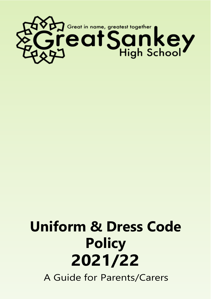

# **Uniform & Dress Code Policy 2021/22**

A Guide for Parents/Carers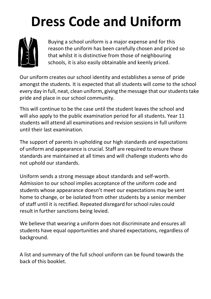# **Dress Code and Uniform**



Buying a school uniform is a major expense and for this reason the uniform has been carefully chosen and priced so that whilst it is distinctive from those of neighbouring schools, it is also easily obtainable and keenly priced.

 Our uniform creates our school identity and establishes <sup>a</sup> sense of pride amongst the students. It is expected that all students will come to the school every day in full, neat, clean uniform, giving the message that ourstudentstake pride and place in our school community.

This will continue to be the case until the student leaves the school and will also apply to the public examination period for all students. Year 11 students will attend all examinations and revision sessions in full uniform until their last examination.

The support of parents in upholding our high standards and expectations of uniform and appearance is crucial. Staff are required to ensure these standards are maintained at all times and will challenge students who do not uphold our standards.

Uniform sends a strong message about standards and self-worth. Admission to our school implies acceptance of the uniform code and students whose appearance doesn't meet our expectations may be sent home to change, or be isolated from other students by a senior member of staff until it is rectified. Repeated disregard forschool rules could result in further sanctions being levied.

We believe that wearing a uniform does not discriminate and ensures all students have equal opportunities and shared expectations, regardless of background.

A list and summary of the full school uniform can be found towards the back of this booklet.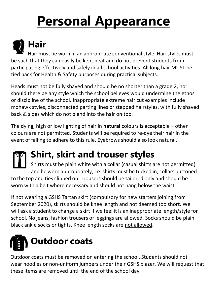# **Personal Appearance**

**Hair** Hair must be worn in an appropriate conventional style. Hair styles must be such that they can easily be kept neat and do not prevent students from participating effectively and safely in all school activities. All long hair MUST be tied back for Health & Safety purposes during practical subjects.

Heads must not be fully shaved and should be no shorter than a grade 2, nor should there be any style which the school believes would undermine the ethos or discipline of the school. Inappropriate extreme hair cut examples include mohawk styles, disconnected parting lines or stepped hairstyles, with fully shaved back & sides which do not blend into the hair on top.

The dying, high or low lighting of hair in **natural** colours is acceptable – other colours are not permitted. Students will be required to re-dye their hair in the event of failing to adhere to this rule. Eyebrows should also look natural.

## **Shirt, skirt and trouser styles**

Shirts must be plain white with a collar (casual shirts are not permitted) and be worn appropriately, i.e. shirts must be tucked in, collars buttoned to the top and ties clipped on. Trousers should be tailored only and should be worn with a belt where necessary and should not hang below the waist.

If not wearing a GSHS Tartan skirt (compulsory for new starters joining from September 2020), skirts should be knee length and not deemed too short. We will ask a student to change a skirt if we feel it is an inappropriate length/style for school. No jeans, fashion trousers or leggings are allowed. Socks should be plain black ankle socks or tights. Knee length socks are not allowed.



Outdoor coats must be removed on entering the school. Students should not wear hoodies or non-uniform jumpers under their GSHS blazer. We will request that these items are removed until the end of the school day.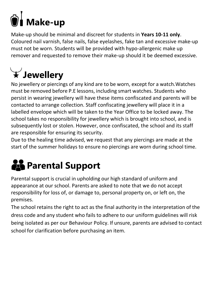

Make-up should be minimal and discreet for students in **Years 10-11 only**. Coloured nail varnish, false nails, false eyelashes, fake tan and excessive make-up must not be worn. Students will be provided with hypo-allergenic make up remover and requested to remove their make-up should it be deemed excessive.

# **Jewellery**

No jewellery or piercings of any kind are to be worn, except for a watch.Watches must be removed before P.E lessons, including smart watches. Students who persist in wearing jewellery will have these items confiscated and parents will be contacted to arrange collection. Staff confiscating jewellery will place it in a labelled envelope which will be taken to the Year Office to be locked away. The school takes no responsibility for jewellery which is brought into school, and is subsequently lost or stolen. However, once confiscated, the school and its staff are responsible for ensuring its security.

Due to the healing time advised, we request that any piercings are made at the start of the summer holidays to ensure no piercings are worn during school time.

# **Parental Support**

Parental support is crucial in upholding our high standard of uniform and appearance at our school. Parents are asked to note that we do not accept responsibility for loss of, or damage to, personal property on, or left on, the premises.

The school retains the right to act as the final authority in the interpretation of the dress code and any student who fails to adhere to our uniform guidelines will risk being isolated as per our Behaviour Policy. If unsure, parents are advised to contact school for clarification before purchasing an item.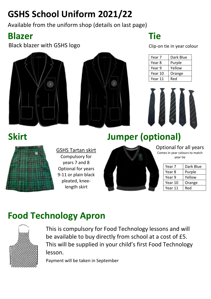## **GSHS School Uniform 2021/22**

Available from the uniform shop (details on last page)

#### **Blazer Tie**

Black blazer with GSHS logo Clip-on tie in year colour





| Year 7  | Dark Blue |
|---------|-----------|
| Year 8  | Purple    |
| Year 9  | Yellow    |
| Year 10 | Orange    |
| Year 11 | Red       |



#### **Skirt**



GSHS Tartan skirt Compulsory for years 7 and 8 Optional for years 9-11 or plain black pleated, kneelength skirt

## **Jumper (optional)**



Comes in year colours to match year tie

| Year 7  | Dark Blue |  |
|---------|-----------|--|
| Year 8  | Purple    |  |
| Year 9  | Yellow    |  |
| Year 10 | Orange    |  |
| Year 11 | Red       |  |

#### **Food Technology Apron**



This is compulsory for Food Technology lessons and will be available to buy directly from school at a cost of £5. This will be supplied in your child's first Food Technology lesson.

Payment will be taken in September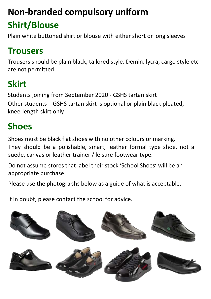## **Non-branded compulsory uniform**

## **Shirt/Blouse**

Plain white buttoned shirt or blouse with either short or long sleeves

### **Trousers**

Trousers should be plain black, tailored style. Demin, lycra, cargo style etc are not permitted

## **Skirt**

Students joining from September 2020 - GSHS tartan skirt Other students – GSHS tartan skirt is optional or plain black pleated, knee-length skirt only

## **Shoes**

Shoes must be black flat shoes with no other colours or marking. They should be a polishable, smart, leather formal type shoe, not a suede, canvas or leather trainer / leisure footwear type.

Do not assume stores that label their stock 'School Shoes' will be an appropriate purchase.

Please use the photographs below as a guide of what is acceptable.

If in doubt, please contact the school for advice.

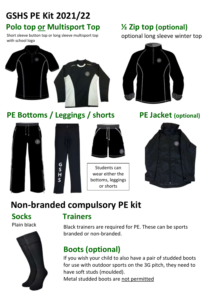### **GSHS PE Kit 2021/22 Polo top or Multisport Top**  $\frac{1}{2}$  **Zip top (optional)**

Short sleeve button top or long sleeve multisport top with school logo



optional long sleeve winter top



**PE Bottoms / Leggings / shorts PE Jacket (optional)**







Students can wear either the bottoms, leggings or shorts



#### **Non-branded compulsory PE kit**

Plain black



#### **Socks Trainers**

Black trainers are required for PE. These can be sports branded or non-branded.

#### **Boots (optional)**

If you wish your child to also have a pair of studded boots for use with outdoor sports on the 3G pitch, they need to have soft studs (moulded). Metal studded boots are not permitted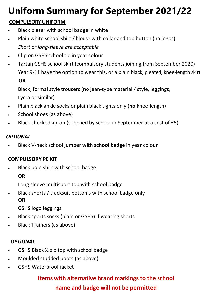# **Uniform Summary for September 2021/22**

#### **COMPULSORY UNIFORM**

- Black blazer with school badge in white
- Plain white school shirt / blouse with collar and top button (no logos) *Short or long-sleeve are acceptable*
- Clip on GSHS school tie in year colour
- Tartan GSHS school skirt (compulsory students joining from September 2020) Year 9-11 have the option to wear this, or a plain black, pleated, knee-length skirt **OR**

Black, formal style trousers (**no** jean-type material / style, leggings, Lycra or similar)

- Plain black ankle socks or plain black tights only (**no** knee-length)
- School shoes (as above)
- Black checked apron (supplied by school in September at a cost of £5)

#### *OPTIONAL*

• Black V-neck school jumper **with school badge** in year colour

#### **COMPULSORY PE KIT**

• Black polo shirt with school badge

#### **OR**

Long sleeve multisport top with school badge

• Black shorts / tracksuit bottoms with school badge only  **OR**

GSHS logo leggings

- Black sports socks (plain or GSHS) if wearing shorts
- Black Trainers (as above)

#### *OPTIONAL*

- GSHS Black  $\frac{1}{2}$  zip top with school badge
- Moulded studded boots (as above)
- GSHS Waterproof jacket

#### **Items with alternative brand markings to the school name and badge will not be permitted**